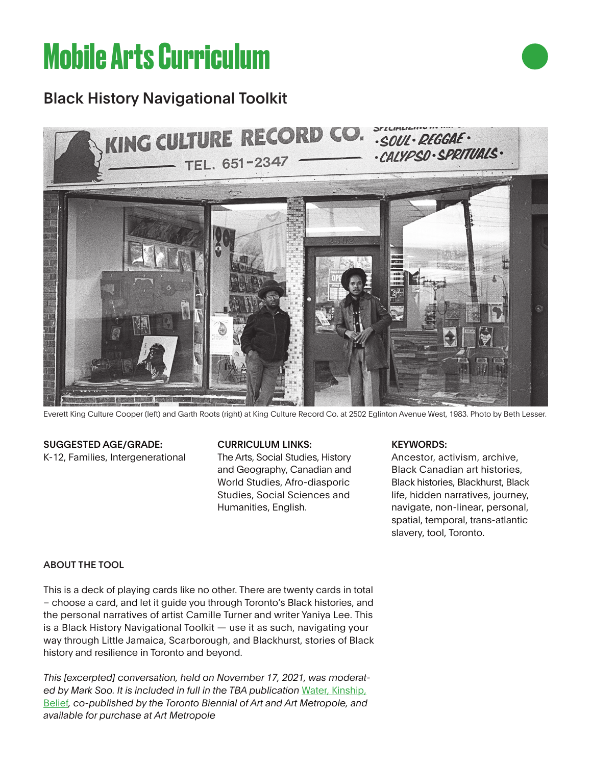# **Mobile Arts Curriculum**

## Black History Navigational Toolkit



Everett King Culture Cooper (left) and Garth Roots (right) at King Culture Record Co. at 2502 Eglinton Avenue West, 1983. Photo by Beth Lesser.

### SUGGESTED AGE/GRADE:

K-12, Families, Intergenerational

#### CURRICULUM LINKS:

The Arts, Social Studies, History and Geography, Canadian and World Studies, Afro-diasporic Studies, Social Sciences and Humanities, English.

#### KEYWORDS:

Ancestor, activism, archive, Black Canadian art histories, Black histories, Blackhurst, Black life, hidden narratives, journey, navigate, non-linear, personal, spatial, temporal, trans-atlantic slavery, tool, Toronto.

#### ABOUT THE TOOL

This is a deck of playing cards like no other. There are twenty cards in total – choose a card, and let it guide you through Toronto's Black histories, and the personal narratives of artist Camille Turner and writer Yaniya Lee. This is a Black History Navigational Toolkit — use it as such, navigating your way through Little Jamaica, Scarborough, and Blackhurst, stories of Black history and resilience in Toronto and beyond.

*This [excerpted] conversation, held on November 17, 2021, was moderat*ed by Mark Soo. It is included in full in the TBA publication Water, Kinship, Belief*, co-published by the Toronto Biennial of Art and Art Metropole, and available for purchase at Art Metropole*